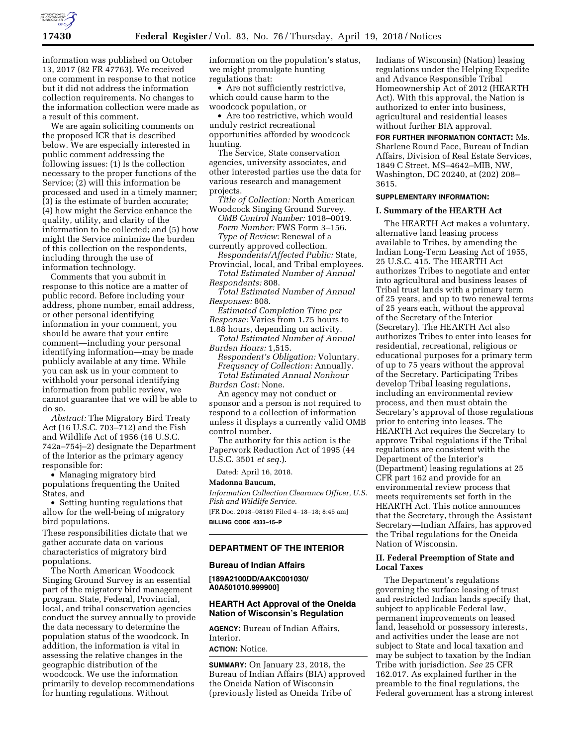

information was published on October 13, 2017 (82 FR 47763). We received one comment in response to that notice but it did not address the information collection requirements. No changes to the information collection were made as a result of this comment.

We are again soliciting comments on the proposed ICR that is described below. We are especially interested in public comment addressing the following issues: (1) Is the collection necessary to the proper functions of the Service; (2) will this information be processed and used in a timely manner; (3) is the estimate of burden accurate; (4) how might the Service enhance the quality, utility, and clarity of the information to be collected; and (5) how might the Service minimize the burden of this collection on the respondents, including through the use of information technology.

Comments that you submit in response to this notice are a matter of public record. Before including your address, phone number, email address, or other personal identifying information in your comment, you should be aware that your entire comment—including your personal identifying information—may be made publicly available at any time. While you can ask us in your comment to withhold your personal identifying information from public review, we cannot guarantee that we will be able to do so.

*Abstract:* The Migratory Bird Treaty Act (16 U.S.C. 703–712) and the Fish and Wildlife Act of 1956 (16 U.S.C. 742a–754j–2) designate the Department of the Interior as the primary agency responsible for:

• Managing migratory bird populations frequenting the United States, and

• Setting hunting regulations that allow for the well-being of migratory bird populations.

These responsibilities dictate that we gather accurate data on various characteristics of migratory bird populations.

The North American Woodcock Singing Ground Survey is an essential part of the migratory bird management program. State, Federal, Provincial, local, and tribal conservation agencies conduct the survey annually to provide the data necessary to determine the population status of the woodcock. In addition, the information is vital in assessing the relative changes in the geographic distribution of the woodcock. We use the information primarily to develop recommendations for hunting regulations. Without

information on the population's status, we might promulgate hunting regulations that:

• Are not sufficiently restrictive, which could cause harm to the woodcock population, or

• Are too restrictive, which would unduly restrict recreational opportunities afforded by woodcock hunting.

The Service, State conservation agencies, university associates, and other interested parties use the data for various research and management projects.

*Title of Collection:* North American Woodcock Singing Ground Survey. *OMB Control Number:* 1018–0019. *Form Number:* FWS Form 3–156. *Type of Review:* Renewal of a currently approved collection.

*Respondents/Affected Public:* State,

Provincial, local, and Tribal employees. *Total Estimated Number of Annual Respondents:* 808.

*Total Estimated Number of Annual Responses:* 808.

*Estimated Completion Time per Response:* Varies from 1.75 hours to 1.88 hours, depending on activity.

*Total Estimated Number of Annual Burden Hours:* 1,515.

*Respondent's Obligation:* Voluntary. *Frequency of Collection:* Annually. *Total Estimated Annual Nonhour* 

*Burden Cost:* None.

An agency may not conduct or sponsor and a person is not required to respond to a collection of information unless it displays a currently valid OMB control number.

The authority for this action is the Paperwork Reduction Act of 1995 (44 U.S.C. 3501 *et seq.*).

Dated: April 16, 2018.

#### **Madonna Baucum,**

*Information Collection Clearance Officer, U.S. Fish and Wildlife Service.* 

[FR Doc. 2018–08189 Filed 4–18–18; 8:45 am] **BILLING CODE 4333–15–P** 

#### **DEPARTMENT OF THE INTERIOR**

#### **Bureau of Indian Affairs**

**[189A2100DD/AAKC001030/ A0A501010.999900]** 

### **HEARTH Act Approval of the Oneida Nation of Wisconsin's Regulation**

**AGENCY:** Bureau of Indian Affairs, Interior.

# **ACTION:** Notice.

**SUMMARY:** On January 23, 2018, the Bureau of Indian Affairs (BIA) approved the Oneida Nation of Wisconsin (previously listed as Oneida Tribe of

Indians of Wisconsin) (Nation) leasing regulations under the Helping Expedite and Advance Responsible Tribal Homeownership Act of 2012 (HEARTH Act). With this approval, the Nation is authorized to enter into business, agricultural and residential leases without further BIA approval.

**FOR FURTHER INFORMATION CONTACT:** Ms. Sharlene Round Face, Bureau of Indian Affairs, Division of Real Estate Services, 1849 C Street, MS–4642–MIB, NW, Washington, DC 20240, at (202) 208– 3615.

# **SUPPLEMENTARY INFORMATION:**

# **I. Summary of the HEARTH Act**

The HEARTH Act makes a voluntary, alternative land leasing process available to Tribes, by amending the Indian Long-Term Leasing Act of 1955, 25 U.S.C. 415. The HEARTH Act authorizes Tribes to negotiate and enter into agricultural and business leases of Tribal trust lands with a primary term of 25 years, and up to two renewal terms of 25 years each, without the approval of the Secretary of the Interior (Secretary). The HEARTH Act also authorizes Tribes to enter into leases for residential, recreational, religious or educational purposes for a primary term of up to 75 years without the approval of the Secretary. Participating Tribes develop Tribal leasing regulations, including an environmental review process, and then must obtain the Secretary's approval of those regulations prior to entering into leases. The HEARTH Act requires the Secretary to approve Tribal regulations if the Tribal regulations are consistent with the Department of the Interior's (Department) leasing regulations at 25 CFR part 162 and provide for an environmental review process that meets requirements set forth in the HEARTH Act. This notice announces that the Secretary, through the Assistant Secretary—Indian Affairs, has approved the Tribal regulations for the Oneida Nation of Wisconsin.

## **II. Federal Preemption of State and Local Taxes**

The Department's regulations governing the surface leasing of trust and restricted Indian lands specify that, subject to applicable Federal law, permanent improvements on leased land, leasehold or possessory interests, and activities under the lease are not subject to State and local taxation and may be subject to taxation by the Indian Tribe with jurisdiction. *See* 25 CFR 162.017. As explained further in the preamble to the final regulations, the Federal government has a strong interest